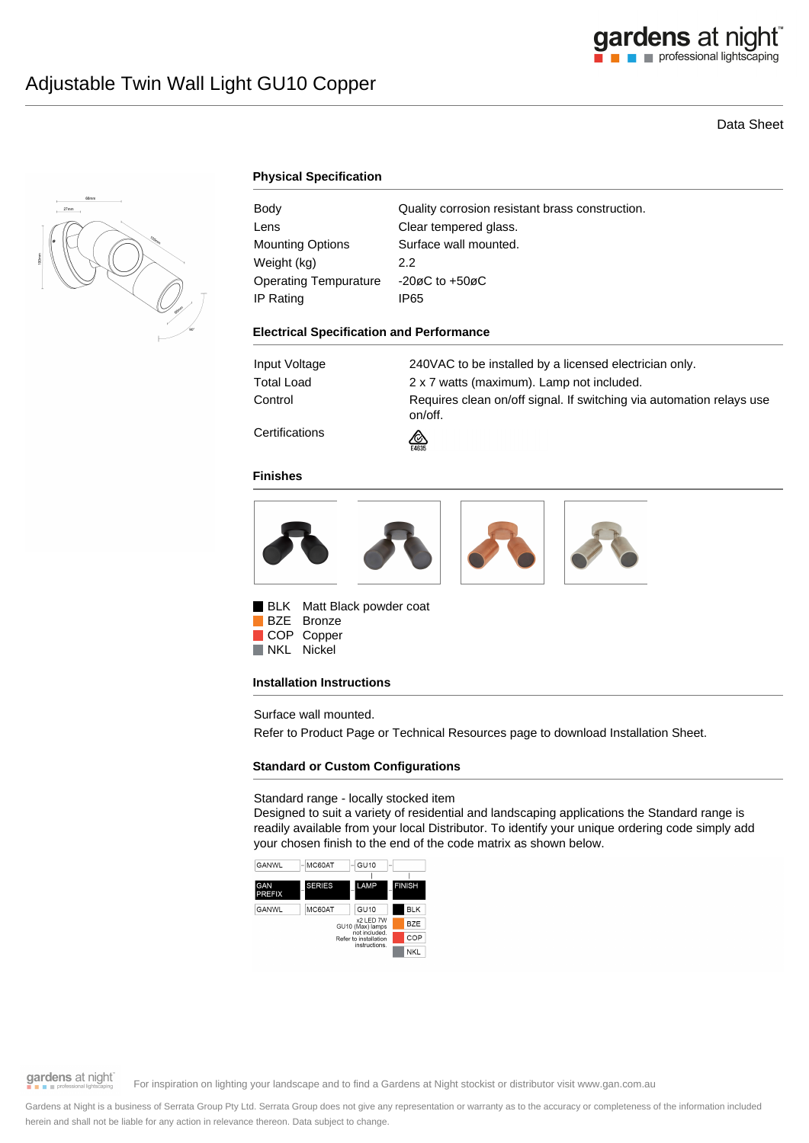

# Data Sheet



### **Physical Specification**

| Body                    | Quality corrosion resistant brass construction. |
|-------------------------|-------------------------------------------------|
| Lens                    | Clear tempered glass.                           |
| <b>Mounting Options</b> | Surface wall mounted.                           |
| Weight (kg)             | 2.2                                             |
| Operating Tempurature   | $-20\varnothing$ C to $+50\varnothing$ C        |
| IP Rating               | IP65                                            |

#### **Electrical Specification and Performance**

| Input Voltage        | 240VAC to be installed by a licensed electrician only.                          |
|----------------------|---------------------------------------------------------------------------------|
| Total Load           | 2 x 7 watts (maximum). Lamp not included.                                       |
| Control              | Requires clean on/off signal. If switching via automation relays use<br>on/off. |
| $\sim$ $\sim$ $\sim$ |                                                                                 |

**Certifications** 

#### **Finishes**



⚠

BLK Matt Black powder coat BZE Bronze COP Copper NKL Nickel

#### **Installation Instructions**

Surface wall mounted.

Refer to Product Page or Technical Resources page to download Installation Sheet.

## **Standard or Custom Configurations**

### Standard range - locally stocked item

Designed to suit a variety of residential and landscaping applications the Standard range is readily available from your local Distributor. To identify your unique ordering code simply add your chosen finish to the end of the code matrix as shown below.



gardens at night

For inspiration on lighting your landscape and to find a Gardens at Night stockist or distributor visit www.gan.com.au

Gardens at Night is a business of Serrata Group Pty Ltd. Serrata Group does not give any representation or warranty as to the accuracy or completeness of the information included herein and shall not be liable for any action in relevance thereon. Data subject to change.